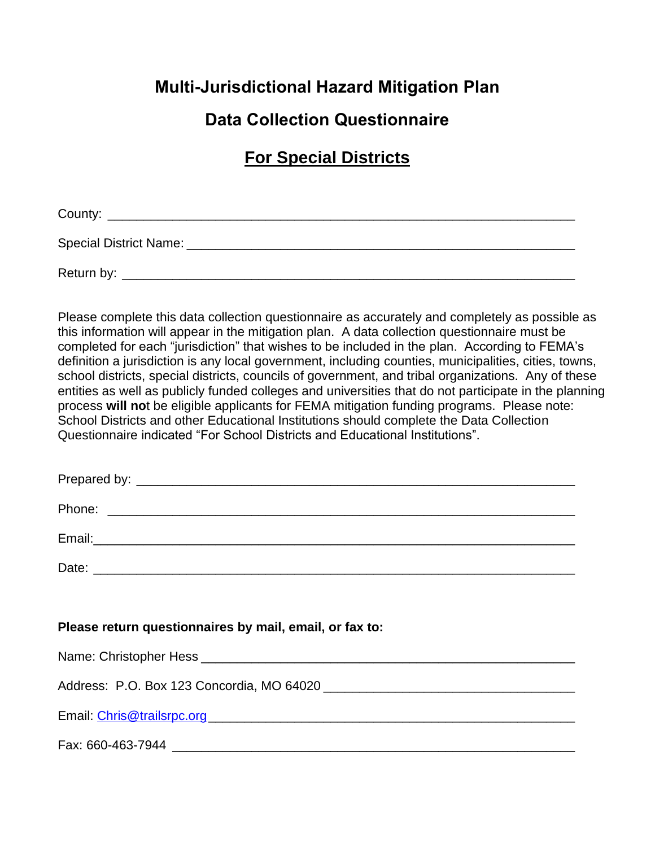## **Multi-Jurisdictional Hazard Mitigation Plan**

# **Data Collection Questionnaire**

# **For Special Districts**

County:

Special District Name:  $\Box$ 

Return by: \_\_\_\_\_\_\_\_\_\_\_\_\_\_\_\_\_\_\_\_\_\_\_\_\_\_\_\_\_\_\_\_\_\_\_\_\_\_\_\_\_\_\_\_\_\_\_\_\_\_\_\_\_\_\_\_\_\_\_\_\_\_\_

Please complete this data collection questionnaire as accurately and completely as possible as this information will appear in the mitigation plan. A data collection questionnaire must be completed for each "jurisdiction" that wishes to be included in the plan. According to FEMA's definition a jurisdiction is any local government, including counties, municipalities, cities, towns, school districts, special districts, councils of government, and tribal organizations. Any of these entities as well as publicly funded colleges and universities that do not participate in the planning process **will no**t be eligible applicants for FEMA mitigation funding programs. Please note: School Districts and other Educational Institutions should complete the Data Collection Questionnaire indicated "For School Districts and Educational Institutions".

| Prenared ł<br>эv<br>$1.9$ pul vul v |  |  |
|-------------------------------------|--|--|
|                                     |  |  |

Phone: \_\_\_\_\_\_\_\_\_\_\_\_\_\_\_\_\_\_\_\_\_\_\_\_\_\_\_\_\_\_\_\_\_\_\_\_\_\_\_\_\_\_\_\_\_\_\_\_\_\_\_\_\_\_\_\_\_\_\_\_\_\_\_\_\_

Email:\_\_\_\_\_\_\_\_\_\_\_\_\_\_\_\_\_\_\_\_\_\_\_\_\_\_\_\_\_\_\_\_\_\_\_\_\_\_\_\_\_\_\_\_\_\_\_\_\_\_\_\_\_\_\_\_\_\_\_\_\_\_\_\_\_\_\_

Date: \_\_\_\_\_\_\_\_\_\_\_\_\_\_\_\_\_\_\_\_\_\_\_\_\_\_\_\_\_\_\_\_\_\_\_\_\_\_\_\_\_\_\_\_\_\_\_\_\_\_\_\_\_\_\_\_\_\_\_\_\_\_\_\_\_\_\_

**Please return questionnaires by mail, email, or fax to:**

Name: Christopher Hess **with the set of the set of the set of the set of the set of the set of the set of the set of the set of the set of the set of the set of the set of the set of the set of the set of the set of the se** 

Address: P.O. Box 123 Concordia, MO 64020 \_\_\_\_\_\_\_\_\_\_\_\_\_\_\_\_\_\_\_\_\_\_\_\_\_\_\_\_\_\_\_\_\_\_\_

Email: [Chris@trailsrpc.org\\_](mailto:Chris@trailsrpc.org)\_\_\_\_\_\_\_\_\_\_\_\_\_\_\_\_\_\_\_\_\_\_\_\_\_\_\_\_\_\_\_\_\_\_\_\_\_\_\_\_\_\_\_\_\_\_\_\_\_\_

Fax: 660-463-7944 \_\_\_\_\_\_\_\_\_\_\_\_\_\_\_\_\_\_\_\_\_\_\_\_\_\_\_\_\_\_\_\_\_\_\_\_\_\_\_\_\_\_\_\_\_\_\_\_\_\_\_\_\_\_\_\_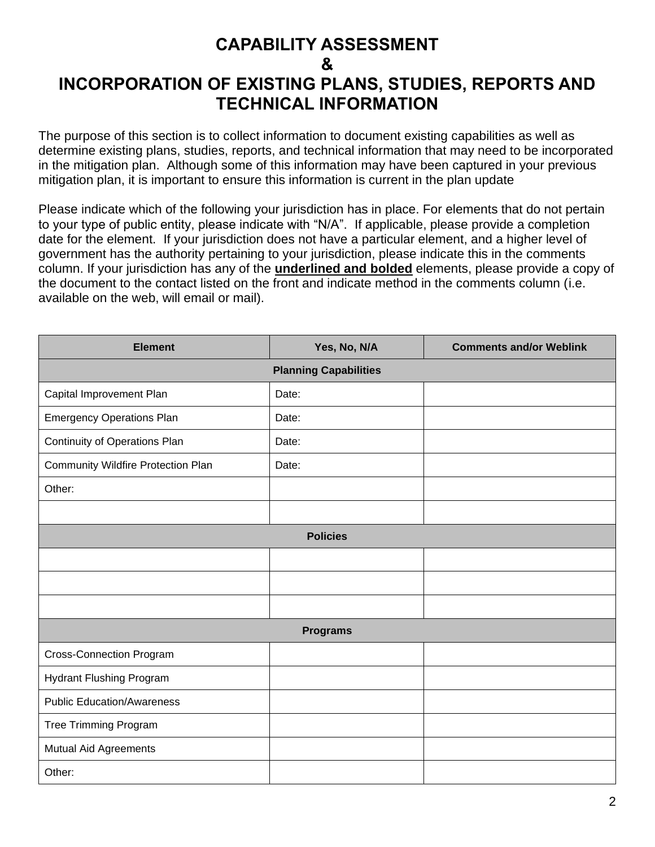## **CAPABILITY ASSESSMENT & INCORPORATION OF EXISTING PLANS, STUDIES, REPORTS AND TECHNICAL INFORMATION**

The purpose of this section is to collect information to document existing capabilities as well as determine existing plans, studies, reports, and technical information that may need to be incorporated in the mitigation plan. Although some of this information may have been captured in your previous mitigation plan, it is important to ensure this information is current in the plan update

Please indicate which of the following your jurisdiction has in place. For elements that do not pertain to your type of public entity, please indicate with "N/A". If applicable, please provide a completion date for the element. If your jurisdiction does not have a particular element, and a higher level of government has the authority pertaining to your jurisdiction, please indicate this in the comments column. If your jurisdiction has any of the **underlined and bolded** elements, please provide a copy of the document to the contact listed on the front and indicate method in the comments column (i.e. available on the web, will email or mail).

| <b>Element</b>                            | Yes, No, N/A    | <b>Comments and/or Weblink</b> |  |  |  |  |  |
|-------------------------------------------|-----------------|--------------------------------|--|--|--|--|--|
| <b>Planning Capabilities</b>              |                 |                                |  |  |  |  |  |
| Capital Improvement Plan                  | Date:           |                                |  |  |  |  |  |
| <b>Emergency Operations Plan</b>          | Date:           |                                |  |  |  |  |  |
| <b>Continuity of Operations Plan</b>      | Date:           |                                |  |  |  |  |  |
| <b>Community Wildfire Protection Plan</b> | Date:           |                                |  |  |  |  |  |
| Other:                                    |                 |                                |  |  |  |  |  |
|                                           |                 |                                |  |  |  |  |  |
|                                           | <b>Policies</b> |                                |  |  |  |  |  |
|                                           |                 |                                |  |  |  |  |  |
|                                           |                 |                                |  |  |  |  |  |
|                                           |                 |                                |  |  |  |  |  |
|                                           | <b>Programs</b> |                                |  |  |  |  |  |
| <b>Cross-Connection Program</b>           |                 |                                |  |  |  |  |  |
| <b>Hydrant Flushing Program</b>           |                 |                                |  |  |  |  |  |
| <b>Public Education/Awareness</b>         |                 |                                |  |  |  |  |  |
| <b>Tree Trimming Program</b>              |                 |                                |  |  |  |  |  |
| Mutual Aid Agreements                     |                 |                                |  |  |  |  |  |
| Other:                                    |                 |                                |  |  |  |  |  |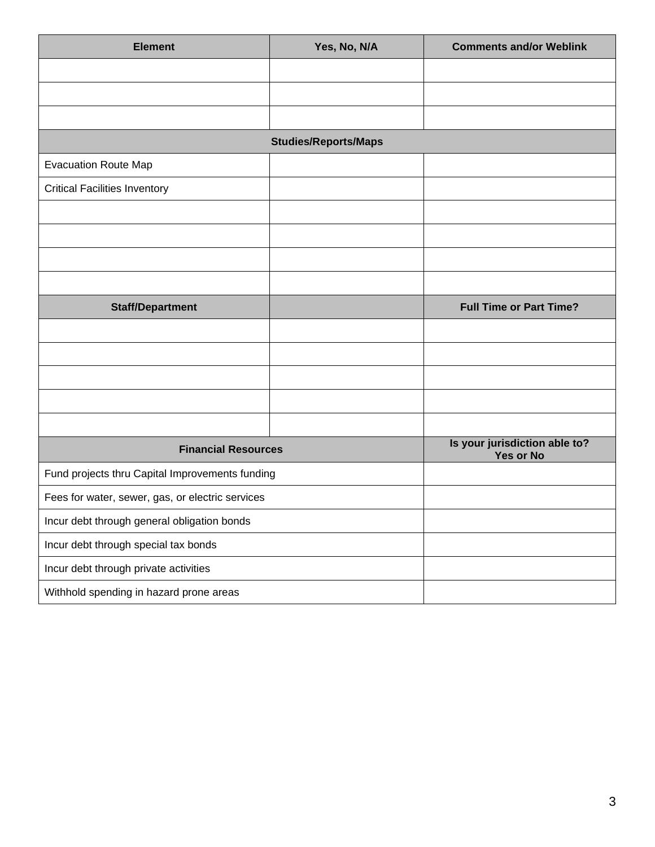| <b>Element</b>                                   | Yes, No, N/A                | <b>Comments and/or Weblink</b>                    |
|--------------------------------------------------|-----------------------------|---------------------------------------------------|
|                                                  |                             |                                                   |
|                                                  |                             |                                                   |
|                                                  |                             |                                                   |
|                                                  | <b>Studies/Reports/Maps</b> |                                                   |
| <b>Evacuation Route Map</b>                      |                             |                                                   |
| <b>Critical Facilities Inventory</b>             |                             |                                                   |
|                                                  |                             |                                                   |
|                                                  |                             |                                                   |
|                                                  |                             |                                                   |
|                                                  |                             |                                                   |
| <b>Staff/Department</b>                          |                             | <b>Full Time or Part Time?</b>                    |
|                                                  |                             |                                                   |
|                                                  |                             |                                                   |
|                                                  |                             |                                                   |
|                                                  |                             |                                                   |
|                                                  |                             |                                                   |
| <b>Financial Resources</b>                       |                             | Is your jurisdiction able to?<br><b>Yes or No</b> |
| Fund projects thru Capital Improvements funding  |                             |                                                   |
| Fees for water, sewer, gas, or electric services |                             |                                                   |
| Incur debt through general obligation bonds      |                             |                                                   |
| Incur debt through special tax bonds             |                             |                                                   |
| Incur debt through private activities            |                             |                                                   |
| Withhold spending in hazard prone areas          |                             |                                                   |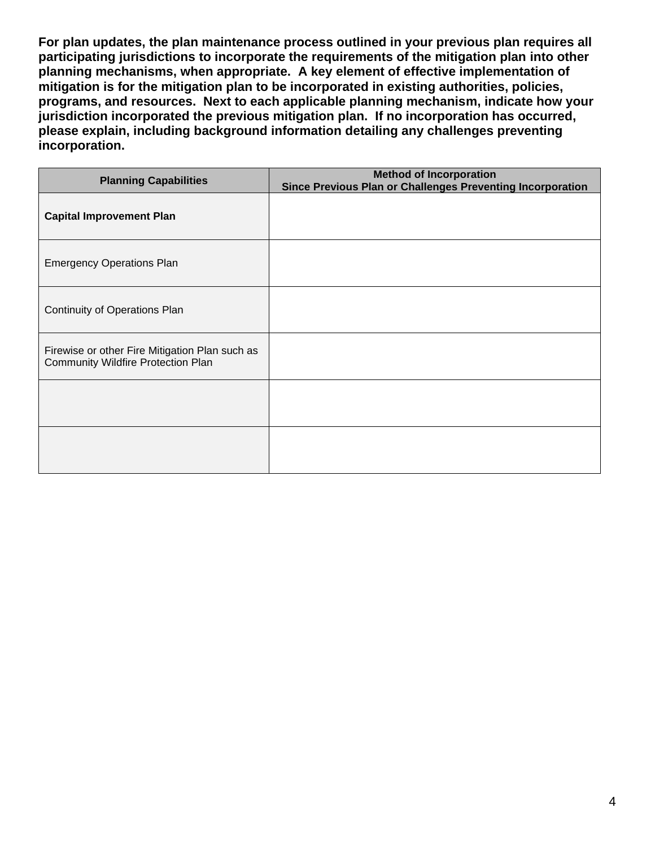**For plan updates, the plan maintenance process outlined in your previous plan requires all participating jurisdictions to incorporate the requirements of the mitigation plan into other planning mechanisms, when appropriate. A key element of effective implementation of mitigation is for the mitigation plan to be incorporated in existing authorities, policies, programs, and resources. Next to each applicable planning mechanism, indicate how your jurisdiction incorporated the previous mitigation plan. If no incorporation has occurred, please explain, including background information detailing any challenges preventing incorporation.**

| <b>Planning Capabilities</b>                                                                | <b>Method of Incorporation</b><br>Since Previous Plan or Challenges Preventing Incorporation |
|---------------------------------------------------------------------------------------------|----------------------------------------------------------------------------------------------|
| <b>Capital Improvement Plan</b>                                                             |                                                                                              |
| <b>Emergency Operations Plan</b>                                                            |                                                                                              |
| Continuity of Operations Plan                                                               |                                                                                              |
| Firewise or other Fire Mitigation Plan such as<br><b>Community Wildfire Protection Plan</b> |                                                                                              |
|                                                                                             |                                                                                              |
|                                                                                             |                                                                                              |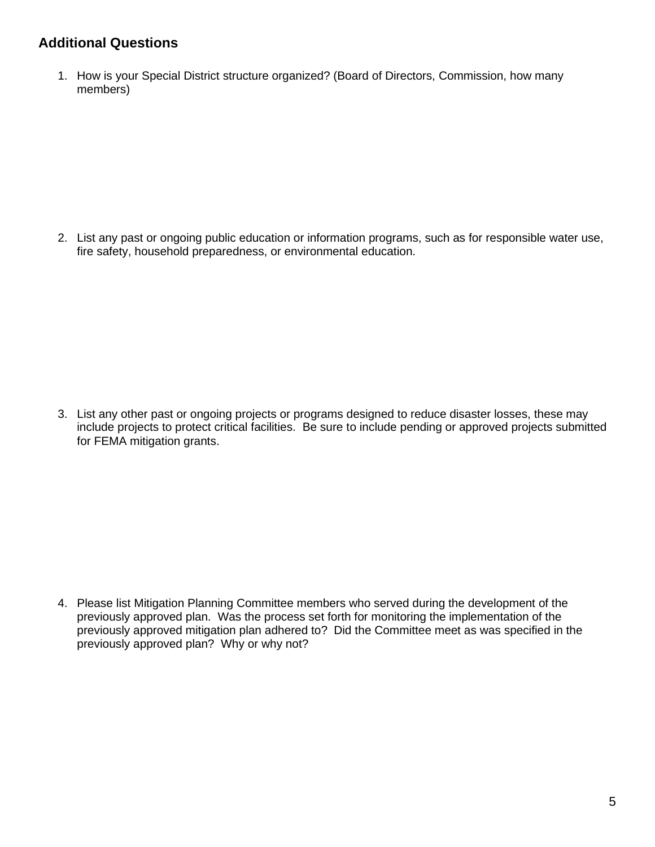### **Additional Questions**

1. How is your Special District structure organized? (Board of Directors, Commission, how many members)

2. List any past or ongoing public education or information programs, such as for responsible water use, fire safety, household preparedness, or environmental education.

3. List any other past or ongoing projects or programs designed to reduce disaster losses, these may include projects to protect critical facilities. Be sure to include pending or approved projects submitted for FEMA mitigation grants.

4. Please list Mitigation Planning Committee members who served during the development of the previously approved plan. Was the process set forth for monitoring the implementation of the previously approved mitigation plan adhered to? Did the Committee meet as was specified in the previously approved plan? Why or why not?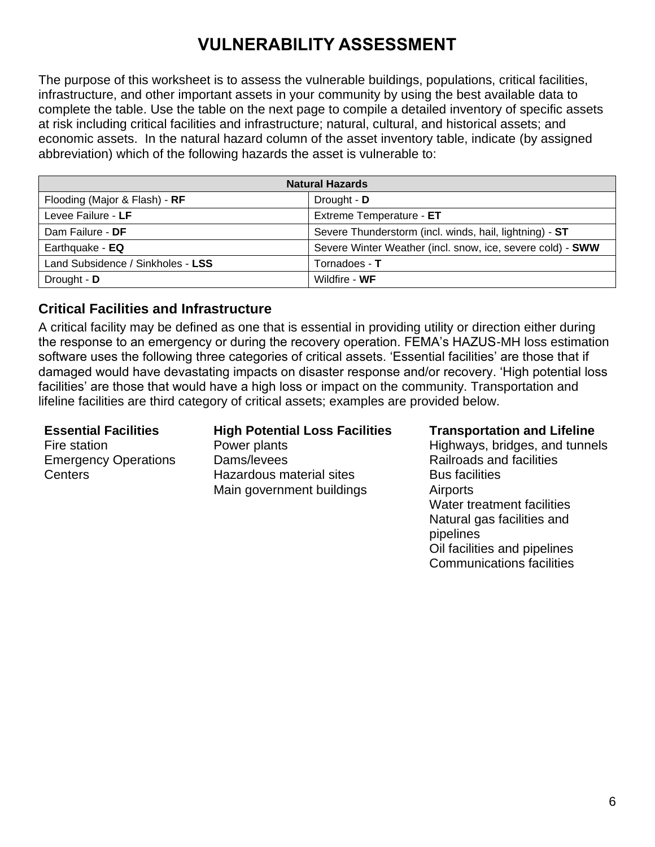# **VULNERABILITY ASSESSMENT**

The purpose of this worksheet is to assess the vulnerable buildings, populations, critical facilities, infrastructure, and other important assets in your community by using the best available data to complete the table. Use the table on the next page to compile a detailed inventory of specific assets at risk including critical facilities and infrastructure; natural, cultural, and historical assets; and economic assets. In the natural hazard column of the asset inventory table, indicate (by assigned abbreviation) which of the following hazards the asset is vulnerable to:

| <b>Natural Hazards</b>            |                                                            |  |  |  |  |
|-----------------------------------|------------------------------------------------------------|--|--|--|--|
| Flooding (Major & Flash) - RF     | Drought - D                                                |  |  |  |  |
| Levee Failure - LF                | Extreme Temperature - ET                                   |  |  |  |  |
| Dam Failure - DF                  | Severe Thunderstorm (incl. winds, hail, lightning) - ST    |  |  |  |  |
| Earthquake - EQ                   | Severe Winter Weather (incl. snow, ice, severe cold) - SWW |  |  |  |  |
| Land Subsidence / Sinkholes - LSS | Tornadoes - T                                              |  |  |  |  |
| Drought - D                       | Wildfire - WF                                              |  |  |  |  |

### **Critical Facilities and Infrastructure**

A critical facility may be defined as one that is essential in providing utility or direction either during the response to an emergency or during the recovery operation. FEMA's HAZUS-MH loss estimation software uses the following three categories of critical assets. 'Essential facilities' are those that if damaged would have devastating impacts on disaster response and/or recovery. 'High potential loss facilities' are those that would have a high loss or impact on the community. Transportation and lifeline facilities are third category of critical assets; examples are provided below.

Fire station Emergency Operations **Centers** 

#### **Essential Facilities High Potential Loss Facilities Transportation and Lifeline**

Power plants Dams/levees Hazardous material sites Main government buildings

Highways, bridges, and tunnels Railroads and facilities Bus facilities **Airports** Water treatment facilities Natural gas facilities and pipelines Oil facilities and pipelines Communications facilities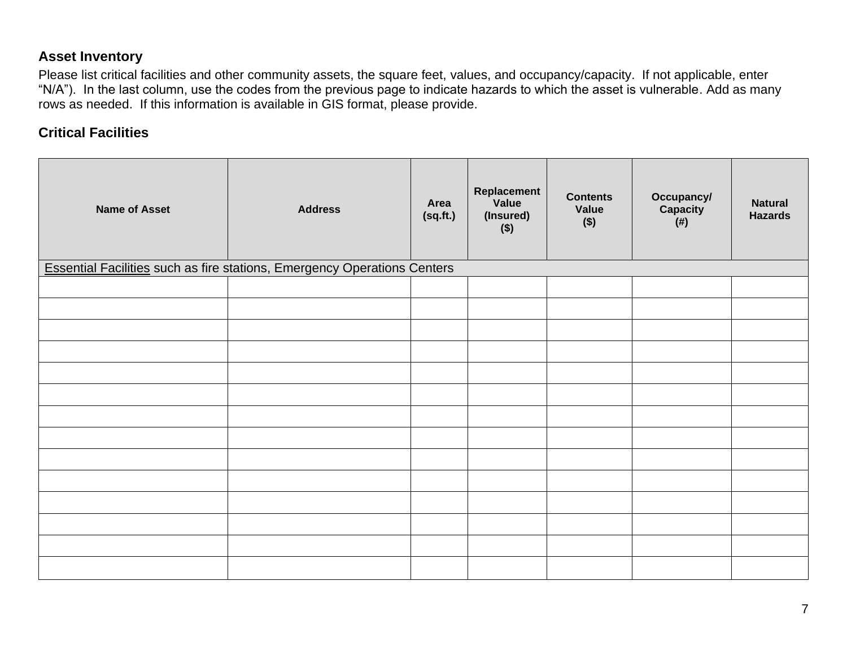#### **Asset Inventory**

Please list critical facilities and other community assets, the square feet, values, and occupancy/capacity. If not applicable, enter "N/A"). In the last column, use the codes from the previous page to indicate hazards to which the asset is vulnerable. Add as many rows as needed. If this information is available in GIS format, please provide.

#### **Critical Facilities**

| <b>Name of Asset</b> | <b>Address</b>                                                                  | Area<br>(sq.fit.) | Replacement<br>Value<br>(Insured)<br>$($ \$) | <b>Contents</b><br>Value<br>\$) | Occupancy/<br>Capacity<br>$($ # $)$ | <b>Natural</b><br><b>Hazards</b> |
|----------------------|---------------------------------------------------------------------------------|-------------------|----------------------------------------------|---------------------------------|-------------------------------------|----------------------------------|
|                      | <b>Essential Facilities such as fire stations, Emergency Operations Centers</b> |                   |                                              |                                 |                                     |                                  |
|                      |                                                                                 |                   |                                              |                                 |                                     |                                  |
|                      |                                                                                 |                   |                                              |                                 |                                     |                                  |
|                      |                                                                                 |                   |                                              |                                 |                                     |                                  |
|                      |                                                                                 |                   |                                              |                                 |                                     |                                  |
|                      |                                                                                 |                   |                                              |                                 |                                     |                                  |
|                      |                                                                                 |                   |                                              |                                 |                                     |                                  |
|                      |                                                                                 |                   |                                              |                                 |                                     |                                  |
|                      |                                                                                 |                   |                                              |                                 |                                     |                                  |
|                      |                                                                                 |                   |                                              |                                 |                                     |                                  |
|                      |                                                                                 |                   |                                              |                                 |                                     |                                  |
|                      |                                                                                 |                   |                                              |                                 |                                     |                                  |
|                      |                                                                                 |                   |                                              |                                 |                                     |                                  |
|                      |                                                                                 |                   |                                              |                                 |                                     |                                  |
|                      |                                                                                 |                   |                                              |                                 |                                     |                                  |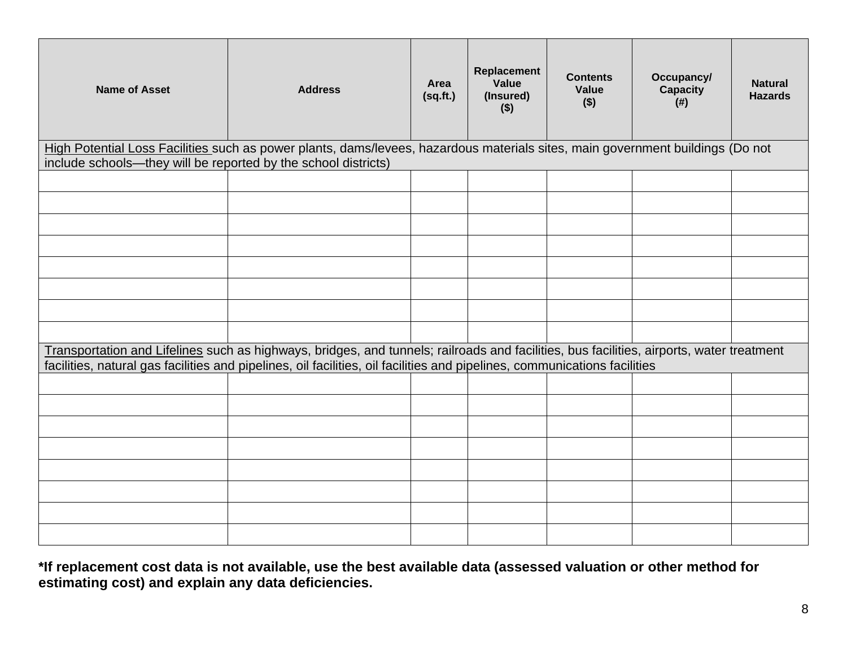| <b>Name of Asset</b>                                                                                                                                                                             | <b>Address</b>                                                                                                                                                                                                                                                        | Area<br>(sq.fr.) | Replacement<br>Value<br>(Insured)<br>$($ \$) | <b>Contents</b><br>Value<br>$($ \$) | Occupancy/<br><b>Capacity</b><br>$($ # $)$ | <b>Natural</b><br><b>Hazards</b> |  |  |
|--------------------------------------------------------------------------------------------------------------------------------------------------------------------------------------------------|-----------------------------------------------------------------------------------------------------------------------------------------------------------------------------------------------------------------------------------------------------------------------|------------------|----------------------------------------------|-------------------------------------|--------------------------------------------|----------------------------------|--|--|
| High Potential Loss Facilities such as power plants, dams/levees, hazardous materials sites, main government buildings (Do not<br>include schools-they will be reported by the school districts) |                                                                                                                                                                                                                                                                       |                  |                                              |                                     |                                            |                                  |  |  |
|                                                                                                                                                                                                  |                                                                                                                                                                                                                                                                       |                  |                                              |                                     |                                            |                                  |  |  |
|                                                                                                                                                                                                  |                                                                                                                                                                                                                                                                       |                  |                                              |                                     |                                            |                                  |  |  |
|                                                                                                                                                                                                  |                                                                                                                                                                                                                                                                       |                  |                                              |                                     |                                            |                                  |  |  |
|                                                                                                                                                                                                  |                                                                                                                                                                                                                                                                       |                  |                                              |                                     |                                            |                                  |  |  |
|                                                                                                                                                                                                  |                                                                                                                                                                                                                                                                       |                  |                                              |                                     |                                            |                                  |  |  |
|                                                                                                                                                                                                  |                                                                                                                                                                                                                                                                       |                  |                                              |                                     |                                            |                                  |  |  |
|                                                                                                                                                                                                  |                                                                                                                                                                                                                                                                       |                  |                                              |                                     |                                            |                                  |  |  |
|                                                                                                                                                                                                  |                                                                                                                                                                                                                                                                       |                  |                                              |                                     |                                            |                                  |  |  |
|                                                                                                                                                                                                  | Transportation and Lifelines such as highways, bridges, and tunnels; railroads and facilities, bus facilities, airports, water treatment<br>facilities, natural gas facilities and pipelines, oil facilities, oil facilities and pipelines, communications facilities |                  |                                              |                                     |                                            |                                  |  |  |
|                                                                                                                                                                                                  |                                                                                                                                                                                                                                                                       |                  |                                              |                                     |                                            |                                  |  |  |
|                                                                                                                                                                                                  |                                                                                                                                                                                                                                                                       |                  |                                              |                                     |                                            |                                  |  |  |
|                                                                                                                                                                                                  |                                                                                                                                                                                                                                                                       |                  |                                              |                                     |                                            |                                  |  |  |
|                                                                                                                                                                                                  |                                                                                                                                                                                                                                                                       |                  |                                              |                                     |                                            |                                  |  |  |
|                                                                                                                                                                                                  |                                                                                                                                                                                                                                                                       |                  |                                              |                                     |                                            |                                  |  |  |
|                                                                                                                                                                                                  |                                                                                                                                                                                                                                                                       |                  |                                              |                                     |                                            |                                  |  |  |
|                                                                                                                                                                                                  |                                                                                                                                                                                                                                                                       |                  |                                              |                                     |                                            |                                  |  |  |
|                                                                                                                                                                                                  |                                                                                                                                                                                                                                                                       |                  |                                              |                                     |                                            |                                  |  |  |

**\*If replacement cost data is not available, use the best available data (assessed valuation or other method for estimating cost) and explain any data deficiencies.**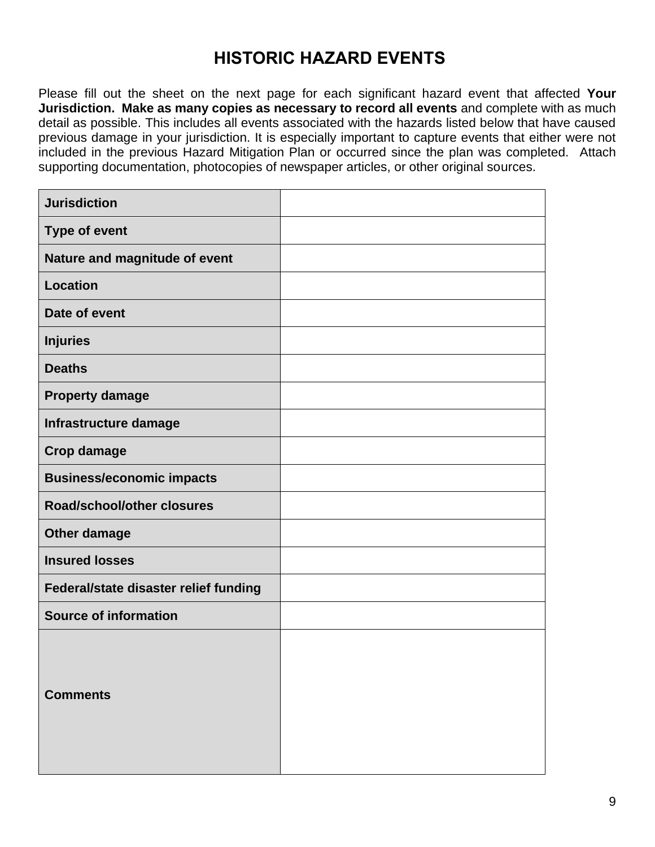# **HISTORIC HAZARD EVENTS**

Please fill out the sheet on the next page for each significant hazard event that affected **Your Jurisdiction. Make as many copies as necessary to record all events** and complete with as much detail as possible. This includes all events associated with the hazards listed below that have caused previous damage in your jurisdiction. It is especially important to capture events that either were not included in the previous Hazard Mitigation Plan or occurred since the plan was completed. Attach supporting documentation, photocopies of newspaper articles, or other original sources.

| <b>Jurisdiction</b>                   |  |
|---------------------------------------|--|
| <b>Type of event</b>                  |  |
| Nature and magnitude of event         |  |
| <b>Location</b>                       |  |
| Date of event                         |  |
| <b>Injuries</b>                       |  |
| <b>Deaths</b>                         |  |
| <b>Property damage</b>                |  |
| Infrastructure damage                 |  |
| <b>Crop damage</b>                    |  |
| <b>Business/economic impacts</b>      |  |
| <b>Road/school/other closures</b>     |  |
| Other damage                          |  |
| <b>Insured losses</b>                 |  |
| Federal/state disaster relief funding |  |
| <b>Source of information</b>          |  |
| <b>Comments</b>                       |  |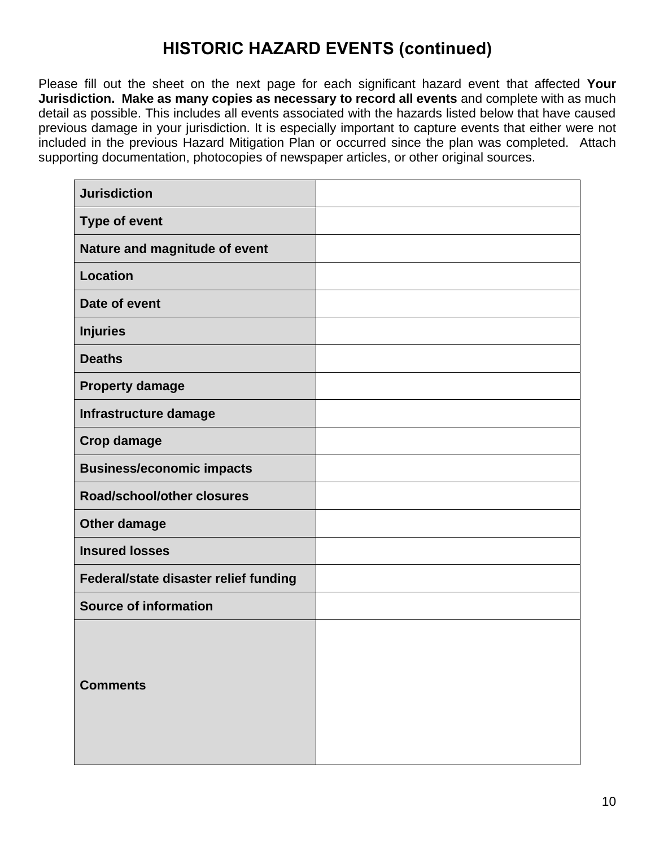# **HISTORIC HAZARD EVENTS (continued)**

Please fill out the sheet on the next page for each significant hazard event that affected **Your Jurisdiction. Make as many copies as necessary to record all events** and complete with as much detail as possible. This includes all events associated with the hazards listed below that have caused previous damage in your jurisdiction. It is especially important to capture events that either were not included in the previous Hazard Mitigation Plan or occurred since the plan was completed. Attach supporting documentation, photocopies of newspaper articles, or other original sources.

| <b>Jurisdiction</b>                   |  |
|---------------------------------------|--|
| <b>Type of event</b>                  |  |
| Nature and magnitude of event         |  |
| <b>Location</b>                       |  |
| Date of event                         |  |
| <b>Injuries</b>                       |  |
| <b>Deaths</b>                         |  |
| <b>Property damage</b>                |  |
| Infrastructure damage                 |  |
| <b>Crop damage</b>                    |  |
| <b>Business/economic impacts</b>      |  |
| <b>Road/school/other closures</b>     |  |
| Other damage                          |  |
| <b>Insured losses</b>                 |  |
| Federal/state disaster relief funding |  |
| <b>Source of information</b>          |  |
| <b>Comments</b>                       |  |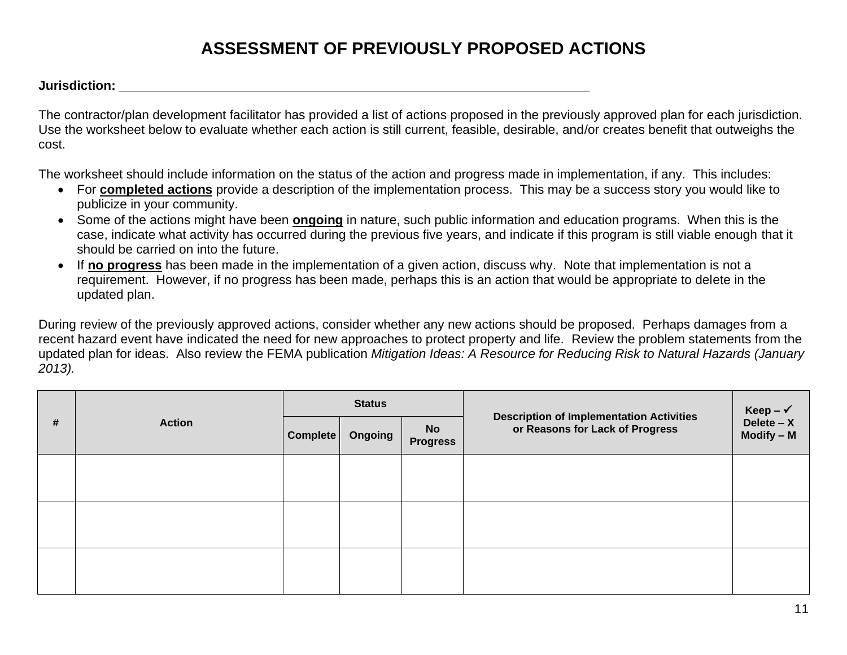# **ASSESSMENT OF PREVIOUSLY PROPOSED ACTIONS**

*Jurisdiction:* **<b>***Contraction: Contraction: Contraction: Contraction:* 

The contractor/plan development facilitator has provided a list of actions proposed in the previously approved plan for each jurisdiction. Use the worksheet below to evaluate whether each action is still current, feasible, desirable, and/or creates benefit that outweighs the cost.

The worksheet should include information on the status of the action and progress made in implementation, if any. This includes:

- For **completed actions** provide a description of the implementation process. This may be a success story you would like to publicize in your community.
- Some of the actions might have been **ongoing** in nature, such public information and education programs. When this is the case, indicate what activity has occurred during the previous five years, and indicate if this program is still viable enough that it should be carried on into the future.
- If **no progress** has been made in the implementation of a given action, discuss why. Note that implementation is not a requirement. However, if no progress has been made, perhaps this is an action that would be appropriate to delete in the updated plan.

During review of the previously approved actions, consider whether any new actions should be proposed. Perhaps damages from a recent hazard event have indicated the need for new approaches to protect property and life. Review the problem statements from the updated plan for ideas. Also review the FEMA publication *Mitigation Ideas: A Resource for Reducing Risk to Natural Hazards (January 2013).*

| # |               |          | <b>Status</b> |                              |                                                                                    | Keep – $\checkmark$          |
|---|---------------|----------|---------------|------------------------------|------------------------------------------------------------------------------------|------------------------------|
|   | <b>Action</b> | Complete | Ongoing       | <b>No</b><br><b>Progress</b> | <b>Description of Implementation Activities</b><br>or Reasons for Lack of Progress | Delete $- X$<br>$Modify - M$ |
|   |               |          |               |                              |                                                                                    |                              |
|   |               |          |               |                              |                                                                                    |                              |
|   |               |          |               |                              |                                                                                    |                              |